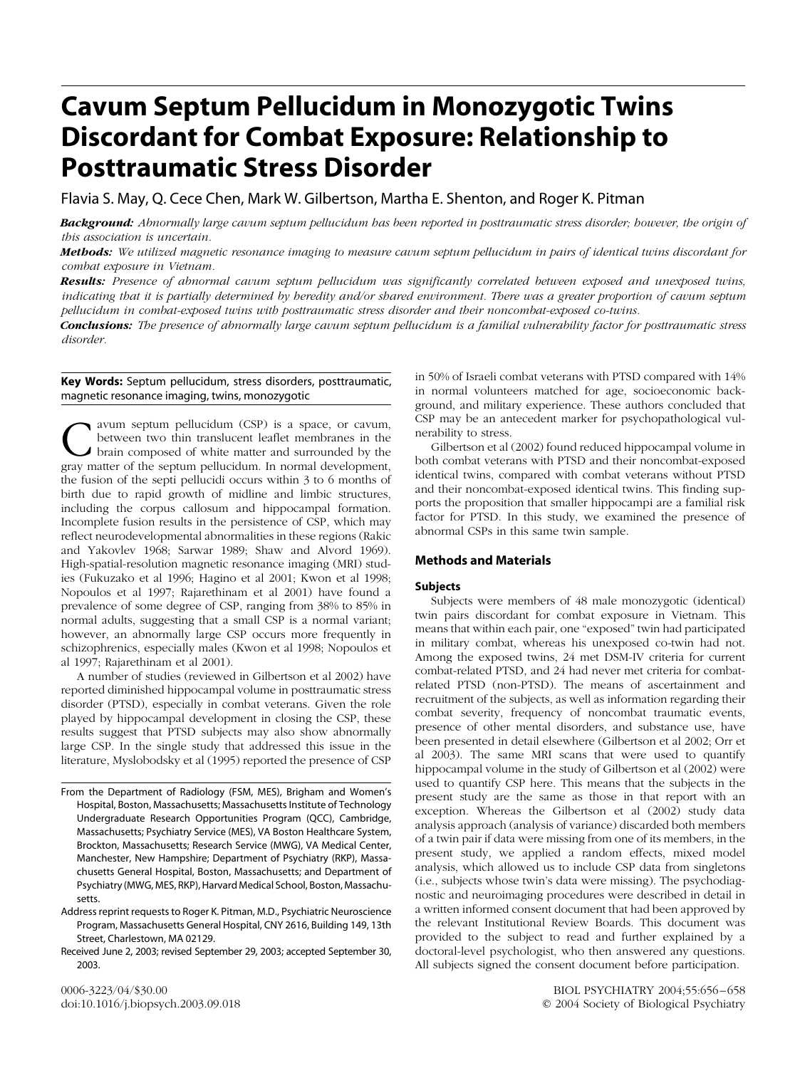# **Cavum Septum Pellucidum in Monozygotic Twins Discordant for Combat Exposure: Relationship to Posttraumatic Stress Disorder**

Flavia S. May, Q. Cece Chen, Mark W. Gilbertson, Martha E. Shenton, and Roger K. Pitman

*Background: Abnormally large cavum septum pellucidum has been reported in posttraumatic stress disorder; however, the origin of this association is uncertain.*

*Methods: We utilized magnetic resonance imaging to measure cavum septum pellucidum in pairs of identical twins discordant for combat exposure in Vietnam.*

*Results: Presence of abnormal cavum septum pellucidum was significantly correlated between exposed and unexposed twins, indicating that it is partially determined by heredity and/or shared environment. There was a greater proportion of cavum septum pellucidum in combat-exposed twins with posttraumatic stress disorder and their noncombat-exposed co-twins.*

*Conclusions: The presence of abnormally large cavum septum pellucidum is a familial vulnerability factor for posttraumatic stress disorder.*

## **Key Words:** Septum pellucidum, stress disorders, posttraumatic, magnetic resonance imaging, twins, monozygotic

avum septum pellucidum (CSP) is a space, or cavum, between two thin translucent leaflet membranes in the brain composed of white matter and surrounded by the gray matter of the septum pellucidum. In normal development, the fusion of the septi pellucidi occurs within 3 to 6 months of birth due to rapid growth of midline and limbic structures, including the corpus callosum and hippocampal formation. Incomplete fusion results in the persistence of CSP, which may reflect neurodevelopmental abnormalities in these regions [\(Rakic](#page-2-0) [and Yakovlev 1968; Sarwar 1989; Shaw and Alvord 1969\)](#page-2-0). High-spatial-resolution magnetic resonance imaging (MRI) studies [\(Fukuzako et al 1996; Hagino et al 2001; Kwon et al 1998;](#page-2-0) [Nopoulos et al 1997; Rajarethinam et al 2001\)](#page-2-0) have found a [prevalence of some degree of C](#page-2-0)SP, ranging from 38% to 85% in normal adults, suggesting that a small CSP is a normal variant; however, an abnormally large CSP occurs more frequently in schizophrenics, especially males (Kwon et al 1998; Nopoulos et al 1997; Rajarethinam et al 2001).

A number of studies (reviewed in [Gilbertson et al 2002\)](#page-2-0) have reported diminished hippocampal volume in posttraumatic stress disorder (PTSD), especially in combat veterans. Given the role played by hippocampal development in closing the CSP, these results suggest that PTSD subjects may also show abnormally large CSP. In the single study that addressed this issue in the literature, [Myslobodsky et al \(1995\)](#page-2-0) reported the presence of CSP

in 50% of Israeli combat veterans with PTSD compared with 14% in normal volunteers matched for age, socioeconomic background, and military experience. These authors concluded that CSP may be an antecedent marker for psychopathological vulnerability to stress.

[Gilbertson et al \(2002\)](#page-2-0) found reduced hippocampal volume in both combat veterans with PTSD and their noncombat-exposed identical twins, compared with combat veterans without PTSD and their noncombat-exposed identical twins. This finding supports the proposition that smaller hippocampi are a familial risk factor for PTSD. In this study, we examined the presence of abnormal CSPs in this same twin sample.

# **Methods and Materials**

## **Subjects**

Subjects were members of 48 male monozygotic (identical) twin pairs discordant for combat exposure in Vietnam. This means that within each pair, one "exposed" twin had participated in military combat, whereas his unexposed co-twin had not. Among the exposed twins, 24 met DSM-IV criteria for current combat-related PTSD, and 24 had never met criteria for combatrelated PTSD (non-PTSD). The means of ascertainment and recruitment of the subjects, as well as information regarding their combat severity, frequency of noncombat traumatic events, presence of other mental disorders, and substance use, have been presented in detail elsewhere [\(Gilbertson et al 2002; Orr et](#page-2-0) [al 2003\)](#page-2-0). The same MRI scans that were used to quantify hippocampal volume in the study of Gilbertson et al (2002) were used to quantify CSP here. This means that the subjects in the present study are the same as those in that report with an exception. Whereas the Gilbertson et al (2002) study data analysis approach (analysis of variance) discarded both members of a twin pair if data were missing from one of its members, in the present study, we applied a random effects, mixed model analysis, which allowed us to include CSP data from singletons (i.e., subjects whose twin's data were missing). The psychodiagnostic and neuroimaging procedures were described in detail in a written informed consent document that had been approved by the relevant Institutional Review Boards. This document was provided to the subject to read and further explained by a doctoral-level psychologist, who then answered any questions. All subjects signed the consent document before participation.

From the Department of Radiology (FSM, MES), Brigham and Women's Hospital, Boston, Massachusetts; Massachusetts Institute of Technology Undergraduate Research Opportunities Program (QCC), Cambridge, Massachusetts; Psychiatry Service (MES), VA Boston Healthcare System, Brockton, Massachusetts; Research Service (MWG), VA Medical Center, Manchester, New Hampshire; Department of Psychiatry (RKP), Massachusetts General Hospital, Boston, Massachusetts; and Department of Psychiatry (MWG, MES, RKP), Harvard Medical School, Boston, Massachusetts.

Address reprint requests to Roger K. Pitman, M.D., Psychiatric Neuroscience Program, Massachusetts General Hospital, CNY 2616, Building 149, 13th Street, Charlestown, MA 02129.

Received June 2, 2003; revised September 29, 2003; accepted September 30, 2003.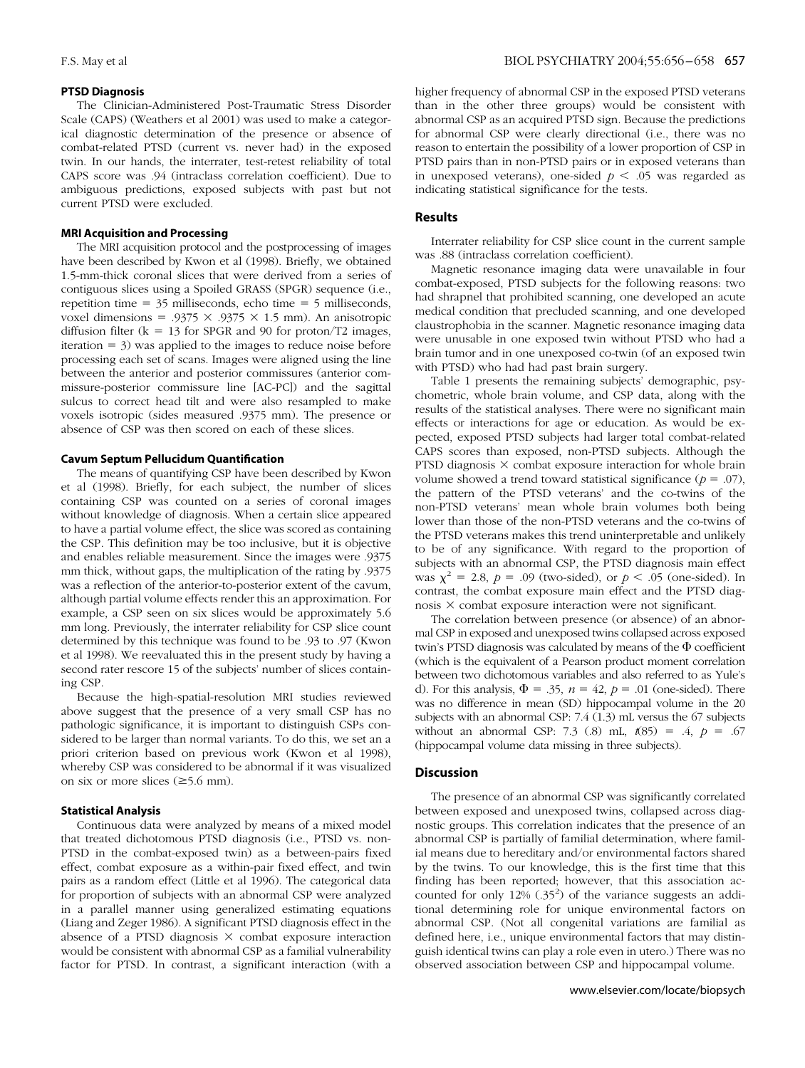#### **PTSD Diagnosis**

The Clinician-Administered Post-Traumatic Stress Disorder Scale (CAPS) [\(Weathers et al 2001\)](#page-2-0) was used to make a categorical diagnostic determination of the presence or absence of combat-related PTSD (current vs. never had) in the exposed twin. In our hands, the interrater, test-retest reliability of total CAPS score was .94 (intraclass correlation coefficient). Due to ambiguous predictions, exposed subjects with past but not current PTSD were excluded.

#### **MRI Acquisition and Processing**

The MRI acquisition protocol and the postprocessing of images have been described by [Kwon et al \(1998\).](#page-2-0) Briefly, we obtained 1.5-mm-thick coronal slices that were derived from a series of contiguous slices using a Spoiled GRASS (SPGR) sequence (i.e., repetition time  $=$  35 milliseconds, echo time  $=$  5 milliseconds, voxel dimensions =  $.9375 \times .9375 \times 1.5$  mm). An anisotropic diffusion filter ( $k = 13$  for SPGR and 90 for proton/T2 images, iteration  $=$  3) was applied to the images to reduce noise before processing each set of scans. Images were aligned using the line between the anterior and posterior commissures (anterior commissure-posterior commissure line [AC-PC]) and the sagittal sulcus to correct head tilt and were also resampled to make voxels isotropic (sides measured .9375 mm). The presence or absence of CSP was then scored on each of these slices.

#### **Cavum Septum Pellucidum Quantification**

The means of quantifying CSP have been described by [Kwon](#page-2-0) [et al \(1998\).](#page-2-0) Briefly, for each subject, the number of slices containing CSP was counted on a series of coronal images without knowledge of diagnosis. When a certain slice appeared to have a partial volume effect, the slice was scored as containing the CSP. This definition may be too inclusive, but it is objective and enables reliable measurement. Since the images were .9375 mm thick, without gaps, the multiplication of the rating by .9375 was a reflection of the anterior-to-posterior extent of the cavum, although partial volume effects render this an approximation. For example, a CSP seen on six slices would be approximately 5.6 mm long. Previously, the interrater reliability for CSP slice count determined by this technique was found to be .93 to .97 [\(Kwon](#page-2-0) [et al 1998\)](#page-2-0). We reevaluated this in the present study by having a second rater rescore 15 of the subjects' number of slices containing CSP.

Because the high-spatial-resolution MRI studies reviewed above suggest that the presence of a very small CSP has no pathologic significance, it is important to distinguish CSPs considered to be larger than normal variants. To do this, we set an a priori criterion based on previous work [\(Kwon et al 1998\)](#page-2-0), whereby CSP was considered to be abnormal if it was visualized on six or more slices  $(\geq 5.6 \text{ mm})$ .

#### **Statistical Analysis**

Continuous data were analyzed by means of a mixed model that treated dichotomous PTSD diagnosis (i.e., PTSD vs. non-PTSD in the combat-exposed twin) as a between-pairs fixed effect, combat exposure as a within-pair fixed effect, and twin pairs as a random effect [\(Little et al 1996\)](#page-2-0). The categorical data for proportion of subjects with an abnormal CSP were analyzed in a parallel manner using generalized estimating equations [\(Liang and Zeger 1986\)](#page-2-0). A significant PTSD diagnosis effect in the absence of a PTSD diagnosis  $\times$  combat exposure interaction would be consistent with abnormal CSP as a familial vulnerability factor for PTSD. In contrast, a significant interaction (with a higher frequency of abnormal CSP in the exposed PTSD veterans than in the other three groups) would be consistent with abnormal CSP as an acquired PTSD sign. Because the predictions for abnormal CSP were clearly directional (i.e., there was no reason to entertain the possibility of a lower proportion of CSP in PTSD pairs than in non-PTSD pairs or in exposed veterans than in unexposed veterans), one-sided  $p < .05$  was regarded as indicating statistical significance for the tests.

#### **Results**

Interrater reliability for CSP slice count in the current sample was .88 (intraclass correlation coefficient).

Magnetic resonance imaging data were unavailable in four combat-exposed, PTSD subjects for the following reasons: two had shrapnel that prohibited scanning, one developed an acute medical condition that precluded scanning, and one developed claustrophobia in the scanner. Magnetic resonance imaging data were unusable in one exposed twin without PTSD who had a brain tumor and in one unexposed co-twin (of an exposed twin with PTSD) who had had past brain surgery.

[Table 1](#page-2-0) presents the remaining subjects' demographic, psychometric, whole brain volume, and CSP data, along with the results of the statistical analyses. There were no significant main effects or interactions for age or education. As would be expected, exposed PTSD subjects had larger total combat-related CAPS scores than exposed, non-PTSD subjects. Although the PTSD diagnosis  $\times$  combat exposure interaction for whole brain volume showed a trend toward statistical significance ( $p = .07$ ), the pattern of the PTSD veterans' and the co-twins of the non-PTSD veterans' mean whole brain volumes both being lower than those of the non-PTSD veterans and the co-twins of the PTSD veterans makes this trend uninterpretable and unlikely to be of any significance. With regard to the proportion of subjects with an abnormal CSP, the PTSD diagnosis main effect was  $\chi^2 = 2.8$ ,  $p = .09$  (two-sided), or  $p < .05$  (one-sided). In contrast, the combat exposure main effect and the PTSD diagnosis  $\times$  combat exposure interaction were not significant.

The correlation between presence (or absence) of an abnormal CSP in exposed and unexposed twins collapsed across exposed twin's PTSD diagnosis was calculated by means of the  $\Phi$  coefficient (which is the equivalent of a Pearson product moment correlation between two dichotomous variables and also referred to as Yule's d). For this analysis,  $\Phi = .35$ ,  $n = 42$ ,  $p = .01$  (one-sided). There was no difference in mean (SD) hippocampal volume in the 20 subjects with an abnormal CSP: 7.4 (1.3) mL versus the 67 subjects without an abnormal CSP: 7.3 (.8) mL,  $t(85) = .4$ ,  $p = .67$ (hippocampal volume data missing in three subjects).

#### **Discussion**

The presence of an abnormal CSP was significantly correlated between exposed and unexposed twins, collapsed across diagnostic groups. This correlation indicates that the presence of an abnormal CSP is partially of familial determination, where familial means due to hereditary and/or environmental factors shared by the twins. To our knowledge, this is the first time that this finding has been reported; however, that this association accounted for only  $12\%$  (.35<sup>2</sup>) of the variance suggests an additional determining role for unique environmental factors on abnormal CSP. (Not all congenital variations are familial as defined here, i.e., unique environmental factors that may distinguish identical twins can play a role even in utero.) There was no observed association between CSP and hippocampal volume.